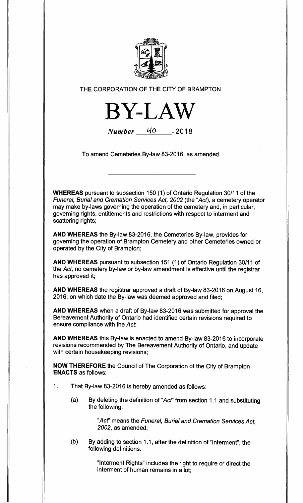

**THE CORPORATION OF THE CITY OF BRAMPTON** 



**Number 140 - 2018** 

**To amend Cemeteries By-law 83-2016, as amended** 

**WHEREAS pursuant to subsection 150 (1) of Ontario Regulation 30/11 of the Funeral, Burial and Cremation Services Act, 2002 (the "Act), a cemetery operator may make by-laws governing the operation of the cemetery and, in particular, governing rights, entitlements and restrictions with respect to interment and scattering rights;** 

**AND WHEREAS the By-law 83-2016, the Cemeteries By-law, provides for governing the operation of Brampton Cemetery and other Cemeteries owned or operated by the City of Brampton;** 

**AND WHEREAS pursuant to subsection 151 (1) of Ontario Regulation 30/11 of the Act, no cemetery by-law or by-law amendment is effective until the registrar has approved it;** 

**AND WHEREAS the registrar approved a draft of By-law 83-2016 on August 16, 2016; on which date the By-law was deemed approved and filed;** 

**AND WHEREAS when a draft of By-law 83-2016 was submitted for approval the Bereavement Authority of Ontario had identified certain revisions required to ensure compliance with the Act;** 

**AND WHEREAS this By-law is enacted to amend By-law 83-2016 to incorporate revisions recommended by The Bereavement Authority of Ontario, and update with certain housekeeping revisions;** 

**NOW THEREFORE the Council of The Corporation of the City of Brampton ENACTS as follows:** 

- **1. That By-law 83-2016 is hereby amended as follows:** 
	- **(a) By deleting the definition of "Act' from section 1.1 and substituting the following:**

**"Act' means the Funeral, Burial and Cremation Services Act, 2002, as amended;** 

**(b) By adding to section 1.1, after the definition of "Interment", the following definitions:** 

> **"Interment Rights" includes the right to require or direct the interment of human remains in a lot;**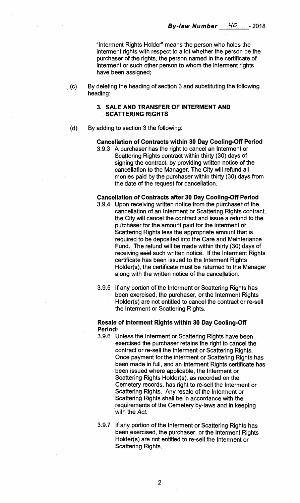**"Interment Rights Holder" means the person who holds the interment rights with respect to a lot whether the person be the purchaser of the rights, the person named in the certificate of interment or such other person to whom the interment rights have been assigned;** 

**(c) By deleting the heading of section 3 and substituting the following heading:** 

# **3. SALE AND TRANSFER OF INTERMENT AND SCATTERING RIGHTS**

**(d) By adding to section 3 the following:** 

## **Cancellation of Contracts within 30 Day Cooling-Off Period**

**3.9.3 A purchaser has the right to cancel an Interment or Scattering Rights contract within thirty (30) days of signing the contract, by providing written notice of the cancellation to the Manager. The City will refund all monies paid by the purchaser within thirty (30) days from the date of the request for cancellation.** 

#### **Cancellation of Contracts after 30 Day Cooling-Off Period**

- **3.9.4 Upon receiving written notice from the purchaser of the cancellation of an Interment or Scattering Rights contract, the City will cancel the contract and issue a refund to the purchaser for the amount paid for the Interment or Scattering Rights less the appropriate amount that is required to be deposited into the Care and Maintenance Fund. The refund will be made within thirty (30) days of receiving said such written notice. If the Interment Rights certificate has been issued to the Interment Rights Holder(s), the certificate must be returned to the Manager along with the written notice of the cancellation.**
- **3.9.5 If any portion of the Interment or Scattering Rights has been exercised, the purchaser, or the Interment Rights Holder(s) are not entitled to cancel the contract or re-sell the Interment or Scattering Rights.**

### **Resale of Interment Rights within 30 Day Cooling-Off Period:**

- **3.9.6 Unless the Interment or Scattering Rights have been exercised the purchaser retains the right to cancel the contract or re-sell the Interment or Scattering Rights. Once payment for the interment or Scattering Rights has been made in full, and an Interment Rights certificate has been issued where applicable, the Interment or Scattering Rights Holder(s), as recorded on the Cemetery records, has right to re-sell the Interment or Scattering Rights. Any resale of the Interment or Scattering Rights shall be in accordance with the requirements of the Cemetery by-laws and in keeping with the Act.**
- **3.9.7 If any portion of the Interment or Scattering Rights has been exercised, the purchaser, or the Interment Rights Holder(s) are not entitled to re-sell the Interment or Scattering Rights.**